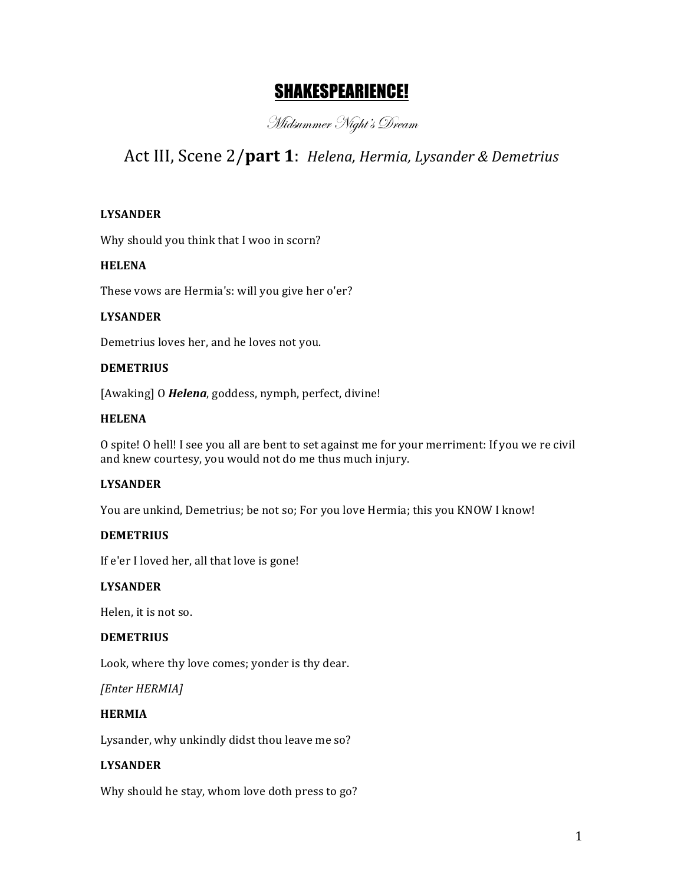# SHAKESPEARIENCE!

Midsummer Night's Dream

# Act III, Scene 2/part 1: *Helena, Hermia, Lysander & Demetrius*

# **LYSANDER**

Why should you think that I woo in scorn?

#### **HELENA**

These vows are Hermia's: will you give her o'er?

# **LYSANDER**

Demetrius loves her, and he loves not you.

#### **DEMETRIUS**

[Awaking] O **Helena**, goddess, nymph, perfect, divine!

#### **HELENA**

O spite! O hell! I see you all are bent to set against me for your merriment: If you we re civil and knew courtesy, you would not do me thus much injury.

# **LYSANDER**

You are unkind, Demetrius; be not so; For you love Hermia; this you KNOW I know!

# **DEMETRIUS**

If e'er I loved her, all that love is gone!

# **LYSANDER**

Helen, it is not so.

#### **DEMETRIUS**

Look, where thy love comes; yonder is thy dear.

*[Enter HERMIA]*

# **HERMIA**

Lysander, why unkindly didst thou leave me so?

# **LYSANDER**

Why should he stay, whom love doth press to go?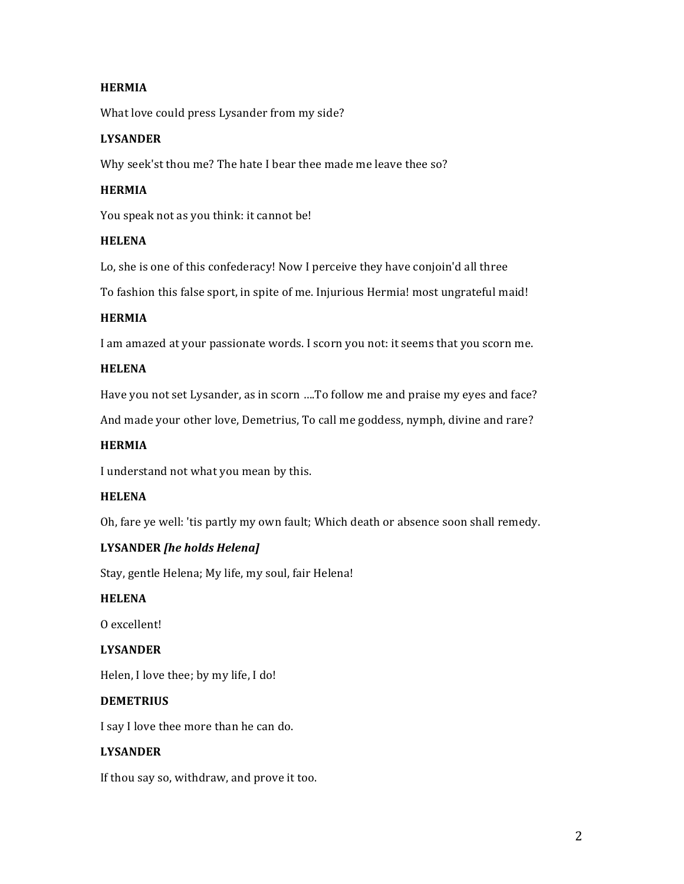# **HERMIA**

What love could press Lysander from my side?

#### **LYSANDER**

Why seek'st thou me? The hate I bear thee made me leave thee so?

#### **HERMIA**

You speak not as you think: it cannot be!

#### **HELENA**

Lo, she is one of this confederacy! Now I perceive they have conjoin'd all three

To fashion this false sport, in spite of me. Injurious Hermia! most ungrateful maid!

#### **HERMIA**

I am amazed at your passionate words. I scorn you not: it seems that you scorn me.

#### **HELENA**

Have you not set Lysander, as in scorn ....To follow me and praise my eyes and face?

And made your other love, Demetrius, To call me goddess, nymph, divine and rare?

#### **HERMIA**

I understand not what you mean by this.

#### **HELENA**

Oh, fare ye well: 'tis partly my own fault; Which death or absence soon shall remedy.

#### **LYSANDER** [he holds Helena]

Stay, gentle Helena; My life, my soul, fair Helena!

#### **HELENA**

O excellent!

#### **LYSANDER**

Helen, I love thee; by my life, I do!

#### **DEMETRIUS**

I say I love thee more than he can do.

#### **LYSANDER**

If thou say so, withdraw, and prove it too.